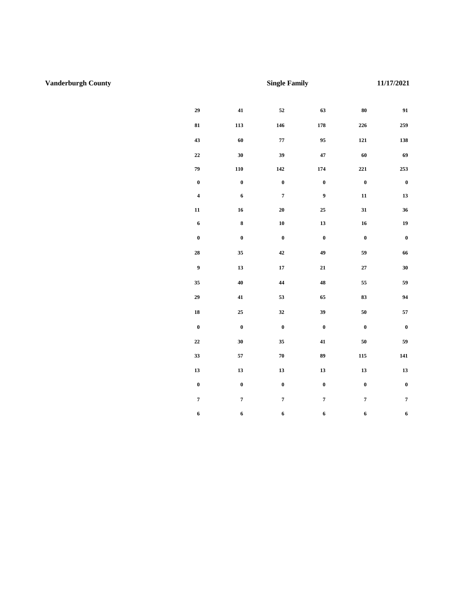## **U.S Department of Housing and Urban Development**

See Public Reporting and Instructions on back.

Office of Public and Indian Housing

| no follo migallo na food allo accarto actommo a lo<br>Locality/PHA<br><b>Vanderburgh County</b> |                                                                                 |                         | to tal boot of torial it failing four attitude and application<br>Unit Type<br><b>Single Family</b> |                  |                           |                                    | Date (mm/dd/yyyy)<br>11/17/2021 |  |
|-------------------------------------------------------------------------------------------------|---------------------------------------------------------------------------------|-------------------------|-----------------------------------------------------------------------------------------------------|------------------|---------------------------|------------------------------------|---------------------------------|--|
| <b>Utility or Service</b>                                                                       | <b>Fuel Type</b>                                                                | 0BR                     | 1BR                                                                                                 | <b>2 BR</b>      | 3 BR                      | 4BR                                | <b>5 BR</b>                     |  |
| Heating                                                                                         | Natural Gas                                                                     | 29                      | 41                                                                                                  | 52               | 63                        | 80                                 | 91                              |  |
|                                                                                                 | <b>Bottled Gas</b>                                                              | 81                      | 113                                                                                                 | 146              | 178                       | 226                                | 259                             |  |
|                                                                                                 | Electric                                                                        | 43                      | 60                                                                                                  | ${\bf 77}$       | 95                        | 121                                | 138                             |  |
|                                                                                                 | Electric - Heat Pump                                                            | 22                      | 30                                                                                                  | 39               | 47                        | 60                                 | 69                              |  |
|                                                                                                 | Fuel Oil                                                                        | 79                      | 110                                                                                                 | 142              | 174                       | 221                                | 253                             |  |
|                                                                                                 | Other                                                                           | $\bf{0}$                | $\mathbf 0$                                                                                         | $\bf{0}$         | $\boldsymbol{0}$          | $\bf{0}$                           | $\bf{0}$                        |  |
| Cooking                                                                                         | Natural Gas                                                                     | $\overline{\mathbf{4}}$ | 6                                                                                                   | $\overline{7}$   | $\boldsymbol{9}$          | 11                                 | 13                              |  |
|                                                                                                 | <b>Bottled Gas</b>                                                              | 11                      | 16                                                                                                  | 20               | 25                        | 31                                 | 36                              |  |
|                                                                                                 | Electric                                                                        | 6                       | $\bf 8$                                                                                             | ${\bf 10}$       | 13                        | 16                                 | 19                              |  |
|                                                                                                 | Other                                                                           | $\bf{0}$                | $\pmb{0}$                                                                                           | $\pmb{0}$        | $\pmb{0}$                 | $\bf{0}$                           | $\bf{0}$                        |  |
| Other Electric                                                                                  |                                                                                 | 28                      | 35                                                                                                  | 42               | 49                        | ${\bf 59}$                         | 66                              |  |
| Air Conditioning                                                                                |                                                                                 | 9                       | 13                                                                                                  | 17               | 21                        | 27                                 | 30                              |  |
| <b>Water Heating</b>                                                                            | Natural Gas                                                                     | 35                      | 40                                                                                                  | $\bf{44}$        | 48                        | 55                                 | 59                              |  |
|                                                                                                 | <b>Bottled Gas</b>                                                              | 29                      | $\bf 41$                                                                                            | 53               | 65                        | 83                                 | 94                              |  |
|                                                                                                 | Electric                                                                        | 18                      | 25                                                                                                  | $32\,$           | 39                        | 50                                 | 57                              |  |
|                                                                                                 | Fuel Oil                                                                        | $\bf{0}$                | $\bf{0}$                                                                                            | $\bf{0}$         | $\bf{0}$                  | $\bf{0}$                           | $\bf{0}$                        |  |
| Water                                                                                           |                                                                                 | 22                      | 30                                                                                                  | 35               | 41                        | 50                                 | 59                              |  |
| Sewer                                                                                           |                                                                                 | 33                      | 57                                                                                                  | 70               | 89                        | 115                                | 141                             |  |
| <b>Trash Collection</b>                                                                         |                                                                                 | 13                      | 13                                                                                                  | 13               | 13                        | 13                                 | 13                              |  |
| Other - specify                                                                                 | Stormwater                                                                      | $\bf{0}$                | $\boldsymbol{0}$                                                                                    | $\boldsymbol{0}$ | $\boldsymbol{0}$          | $\boldsymbol{0}$                   | $\boldsymbol{0}$                |  |
| Range/Microwave                                                                                 |                                                                                 | $\overline{7}$          | $\overline{7}$                                                                                      | $7\overline{ }$  | $\overline{7}$            | $7^{\circ}$                        | $\overline{7}$                  |  |
| Refrigerator                                                                                    |                                                                                 | 6                       | 6                                                                                                   | 6                | 6                         | 6                                  | 6                               |  |
|                                                                                                 | Actual Family Allowances - May be used by the family to compute allowance while |                         |                                                                                                     |                  | Utility/Service/Appliance | Allowance                          |                                 |  |
| searching for a unit.                                                                           |                                                                                 |                         | Heating                                                                                             |                  |                           |                                    |                                 |  |
| <b>Head of Household Name</b>                                                                   |                                                                                 | Cooking                 |                                                                                                     |                  |                           |                                    |                                 |  |
|                                                                                                 |                                                                                 |                         |                                                                                                     |                  |                           | Other Electric<br>Air Conditioning |                                 |  |
| <b>Unit Address</b>                                                                             |                                                                                 | Water Heating           |                                                                                                     |                  |                           |                                    |                                 |  |
|                                                                                                 |                                                                                 |                         | Water                                                                                               |                  |                           |                                    |                                 |  |
|                                                                                                 |                                                                                 | Sewer                   |                                                                                                     |                  |                           |                                    |                                 |  |
|                                                                                                 |                                                                                 | <b>Trash Collection</b> |                                                                                                     |                  |                           |                                    |                                 |  |
|                                                                                                 |                                                                                 | Other                   |                                                                                                     |                  |                           |                                    |                                 |  |
| Number of Bedrooms                                                                              |                                                                                 |                         |                                                                                                     | Range/Microwave  |                           |                                    |                                 |  |
|                                                                                                 |                                                                                 |                         |                                                                                                     |                  | Refrigerator              |                                    |                                 |  |
|                                                                                                 |                                                                                 |                         |                                                                                                     |                  | Total                     |                                    |                                 |  |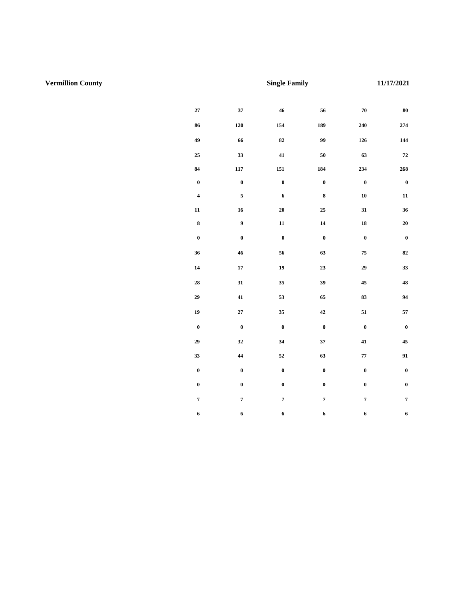#### **U.S Department of Housing and Urban Development**

See Public Reporting and Instructions on back.

Office of Public and Indian Housing

| ne ronoming anomarices are asea to actermine the<br>Locality/PHA<br><b>Vermillion County</b> |                                                                                 |                                    | sse or condite raillioned acilities and appliances.<br>Unit Type<br><b>Single Family</b> |                  |                  | Date (mm/dd/yyyy)<br>11/17/2021 |                  |
|----------------------------------------------------------------------------------------------|---------------------------------------------------------------------------------|------------------------------------|------------------------------------------------------------------------------------------|------------------|------------------|---------------------------------|------------------|
| <b>Utility or Service</b>                                                                    | <b>Fuel Type</b>                                                                | 0BR                                | <b>1 BR</b>                                                                              | <b>2 BR</b>      | 3 BR             | 4BR                             | 5BR              |
| Heating                                                                                      | <b>Natural Gas</b>                                                              | 27                                 | 37                                                                                       | 46               | 56               | 70                              | 80               |
|                                                                                              | <b>Bottled Gas</b>                                                              | 86                                 | $120\,$                                                                                  | 154              | 189              | 240                             | 274              |
|                                                                                              | Electric                                                                        | 49                                 | 66                                                                                       | 82               | 99               | 126                             | 144              |
|                                                                                              | Electric - Heat Pump                                                            | 25                                 | 33                                                                                       | 41               | 50               | 63                              | 72               |
|                                                                                              | Fuel Oil                                                                        | 84                                 | 117                                                                                      | 151              | 184              | 234                             | 268              |
|                                                                                              | Other                                                                           | $\bf{0}$                           | $\bf{0}$                                                                                 | $\bf{0}$         | $\boldsymbol{0}$ | $\boldsymbol{0}$                | $\bf{0}$         |
| Cooking                                                                                      | <b>Natural Gas</b>                                                              | $\overline{\mathbf{4}}$            | 5                                                                                        | 6                | 8                | 10                              | 11               |
|                                                                                              | <b>Bottled Gas</b>                                                              | 11                                 | 16                                                                                       | 20               | 25               | 31                              | 36               |
|                                                                                              | Electric                                                                        | $\bf 8$                            | $\boldsymbol{9}$                                                                         | ${\bf 11}$       | 14               | 18                              | ${\bf 20}$       |
|                                                                                              | Other                                                                           | $\boldsymbol{0}$                   | $\pmb{0}$                                                                                | $\mathbf 0$      | $\pmb{0}$        | $\boldsymbol{0}$                | $\bf{0}$         |
| <b>Other Electric</b>                                                                        |                                                                                 | 36                                 | ${\bf 46}$                                                                               | 56               | 63               | 75                              | 82               |
| Air Conditioning                                                                             |                                                                                 | 14                                 | 17                                                                                       | 19               | 23               | 29                              | 33               |
| <b>Water Heating</b>                                                                         | <b>Natural Gas</b>                                                              | 28                                 | 31                                                                                       | 35               | 39               | 45                              | 48               |
|                                                                                              | <b>Bottled Gas</b>                                                              | 29                                 | 41                                                                                       | 53               | 65               | 83                              | 94               |
|                                                                                              | Electric                                                                        | 19                                 | 27                                                                                       | 35               | 42               | 51                              | 57               |
|                                                                                              | Fuel Oil                                                                        | $\mathbf 0$                        | $\bf{0}$                                                                                 | $\bf{0}$         | $\bf{0}$         | $\bf{0}$                        | $\bf{0}$         |
| Water                                                                                        |                                                                                 | 29                                 | 32                                                                                       | 34               | 37               | 41                              | 45               |
| Sewer                                                                                        |                                                                                 | 33                                 | 44                                                                                       | 52               | 63               | 77                              | 91               |
| <b>Trash Collection</b>                                                                      |                                                                                 | $\bf{0}$                           | $\bf{0}$                                                                                 | $\boldsymbol{0}$ | $\boldsymbol{0}$ | $\mathbf 0$                     | $\boldsymbol{0}$ |
| Other - specify                                                                              | Stormwater                                                                      | $\bf{0}$                           | $\pmb{0}$                                                                                | $\pmb{0}$        | $\pmb{0}$        | $\boldsymbol{0}$                | $\pmb{0}$        |
| Range/Microwave                                                                              |                                                                                 | $\overline{7}$                     | $\overline{7}$                                                                           | $7\overline{ }$  | $\overline{7}$   | $\overline{7}$                  | $7^{\circ}$      |
| Refrigerator                                                                                 |                                                                                 | 6                                  | 6                                                                                        | 6                | 6                | 6                               | 6                |
|                                                                                              | Actual Family Allowances - May be used by the family to compute allowance while |                                    |                                                                                          |                  |                  | Utility/Service/Appliance       | Allowance        |
| searching for a unit.                                                                        |                                                                                 |                                    |                                                                                          |                  | Heating          |                                 |                  |
| Head of Household Name                                                                       |                                                                                 | Cooking                            |                                                                                          |                  |                  |                                 |                  |
|                                                                                              |                                                                                 | Other Electric<br>Air Conditioning |                                                                                          |                  |                  |                                 |                  |
| Unit Address                                                                                 |                                                                                 | <b>Water Heating</b>               |                                                                                          |                  |                  |                                 |                  |
|                                                                                              |                                                                                 | Water                              |                                                                                          |                  |                  |                                 |                  |
|                                                                                              |                                                                                 | Sewer                              |                                                                                          |                  |                  |                                 |                  |
|                                                                                              |                                                                                 | <b>Trash Collection</b>            |                                                                                          |                  |                  |                                 |                  |
|                                                                                              |                                                                                 | Other                              |                                                                                          |                  |                  |                                 |                  |
| Number of Bedrooms                                                                           |                                                                                 |                                    |                                                                                          | Range/Microwave  |                  |                                 |                  |
|                                                                                              |                                                                                 |                                    |                                                                                          |                  | Refrigerator     |                                 |                  |
|                                                                                              |                                                                                 |                                    |                                                                                          |                  | Total            |                                 |                  |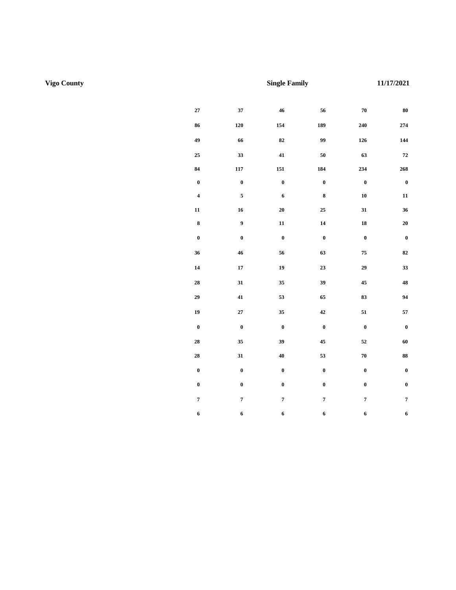**Utility Allowance Schedule** 

#### **U.S Department of Housing and Urban Development**

See Public Reporting and Instructions on back.

Office of Public and Indian Housing

| ne ronowing anowarioso are asea to acterninic the<br>Locality/PHA<br><b>Vigo County</b> |                                                                                 |                           | Unit Type<br><b>Single Family</b> |                 |                  | sociol comune rummonou uemelos unu upphumoosi<br>Date (mm/dd/yyyy)<br>11/17/2021 |                  |  |
|-----------------------------------------------------------------------------------------|---------------------------------------------------------------------------------|---------------------------|-----------------------------------|-----------------|------------------|----------------------------------------------------------------------------------|------------------|--|
| <b>Utility or Service</b>                                                               | <b>Fuel Type</b>                                                                | 0BR                       | <b>1 BR</b>                       | <b>2 BR</b>     | 3 BR             | 4BR                                                                              | <b>5 BR</b>      |  |
| Heating                                                                                 | <b>Natural Gas</b>                                                              | 27                        | 37                                | 46              | 56               | 70                                                                               | 80               |  |
|                                                                                         | <b>Bottled Gas</b>                                                              | 86                        | $120\,$                           | 154             | 189              | 240                                                                              | 274              |  |
|                                                                                         | Electric                                                                        | 49                        | 66                                | 82              | 99               | 126                                                                              | 144              |  |
|                                                                                         | Electric - Heat Pump                                                            | 25                        | 33                                | 41              | 50               | 63                                                                               | 72               |  |
|                                                                                         | Fuel Oil                                                                        | 84                        | 117                               | 151             | 184              | 234                                                                              | 268              |  |
|                                                                                         | Other                                                                           | $\bf{0}$                  | $\mathbf 0$                       | $\bf{0}$        | $\boldsymbol{0}$ | $\bf{0}$                                                                         | $\bf{0}$         |  |
| Cooking                                                                                 | <b>Natural Gas</b>                                                              | $\overline{\mathbf{4}}$   | 5 <sub>5</sub>                    | 6               | 8                | 10                                                                               | 11               |  |
|                                                                                         | <b>Bottled Gas</b>                                                              | 11                        | 16                                | 20              | 25               | 31                                                                               | 36               |  |
|                                                                                         | Electric                                                                        | 8                         | $\boldsymbol{9}$                  | 11              | 14               | 18                                                                               | ${\bf 20}$       |  |
|                                                                                         | Other                                                                           | $\bf{0}$                  | $\pmb{0}$                         | $\pmb{0}$       | $\pmb{0}$        | $\bf{0}$                                                                         | $\bf{0}$         |  |
| Other Electric                                                                          |                                                                                 | 36                        | 46                                | 56              | 63               | 75                                                                               | 82               |  |
| Air Conditioning                                                                        |                                                                                 | 14                        | 17                                | 19              | 23               | 29                                                                               | 33               |  |
| <b>Water Heating</b>                                                                    | <b>Natural Gas</b>                                                              | 28                        | 31                                | 35              | 39               | 45                                                                               | 48               |  |
|                                                                                         | <b>Bottled Gas</b>                                                              | 29                        | $\bf 41$                          | 53              | 65               | 83                                                                               | 94               |  |
|                                                                                         | Electric                                                                        | 19                        | 27                                | 35              | 42               | 51                                                                               | 57               |  |
|                                                                                         | Fuel Oil                                                                        | $\bf{0}$                  | $\bf{0}$                          | $\bf{0}$        | $\bf{0}$         | $\bf{0}$                                                                         | $\bf{0}$         |  |
| Water                                                                                   |                                                                                 | 28                        | 35                                | 39              | 45               | 52                                                                               | 60               |  |
| Sewer                                                                                   |                                                                                 | 28                        | 31                                | 40              | 53               | 70                                                                               | 88               |  |
| <b>Trash Collection</b>                                                                 |                                                                                 | $\bf{0}$                  | $\bf{0}$                          | $\mathbf 0$     | $\boldsymbol{0}$ | $\boldsymbol{0}$                                                                 | $\bf{0}$         |  |
| Other - specify                                                                         | Stormwater                                                                      | $\bf{0}$                  | $\boldsymbol{0}$                  | $\pmb{0}$       | $\boldsymbol{0}$ | $\boldsymbol{0}$                                                                 | $\boldsymbol{0}$ |  |
| Range/Microwave                                                                         |                                                                                 | $7^{\circ}$               | $7^{\circ}$                       | $7\overline{ }$ | $\overline{7}$   | $7^{\circ}$                                                                      | $7\overline{ }$  |  |
| Refrigerator                                                                            |                                                                                 | 6                         | 6                                 | 6               | 6                | 6                                                                                | 6                |  |
|                                                                                         | Actual Family Allowances - May be used by the family to compute allowance while |                           |                                   |                 |                  | Utility/Service/Appliance                                                        | Allowance        |  |
| searching for a unit.<br><b>Head of Household Name</b>                                  |                                                                                 |                           |                                   |                 | Heating          |                                                                                  |                  |  |
|                                                                                         |                                                                                 | Cooking<br>Other Electric |                                   |                 |                  |                                                                                  |                  |  |
|                                                                                         | Air Conditioning                                                                |                           |                                   |                 |                  |                                                                                  |                  |  |
| <b>Unit Address</b>                                                                     | <b>Water Heating</b>                                                            |                           |                                   |                 |                  |                                                                                  |                  |  |
|                                                                                         |                                                                                 | Water                     |                                   |                 |                  |                                                                                  |                  |  |
|                                                                                         |                                                                                 | Sewer                     |                                   |                 |                  |                                                                                  |                  |  |
|                                                                                         |                                                                                 | <b>Trash Collection</b>   |                                   |                 |                  |                                                                                  |                  |  |
|                                                                                         |                                                                                 | Other                     |                                   |                 |                  |                                                                                  |                  |  |
| Number of Bedrooms                                                                      | Range/Microwave                                                                 |                           |                                   |                 |                  |                                                                                  |                  |  |
|                                                                                         |                                                                                 |                           |                                   |                 | Refrigerator     |                                                                                  |                  |  |
|                                                                                         |                                                                                 |                           |                                   |                 | Total            |                                                                                  |                  |  |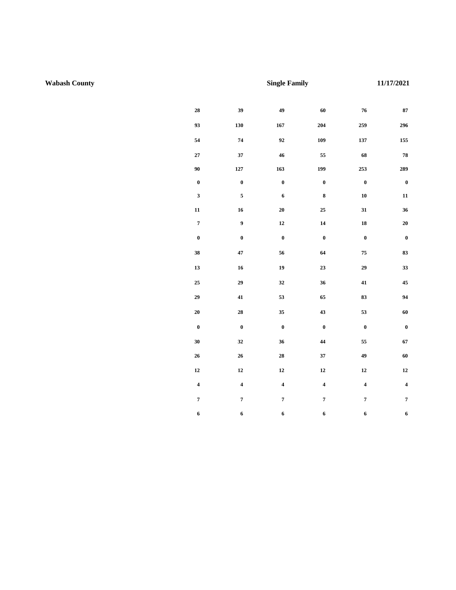**Utility Allowance Schedule** 

#### **U.S Department of Housing and Urban Development**

See Public Reporting and Instructions on back.

Office of Public and Indian Housing

| ne rond ming and mandes are asea to accemmine the total cost or tenant rarmshea atmities and appliances.<br>Locality/PHA<br><b>Wabash County</b> |                                                                                 | Unit Type               | <b>Single Family</b> |                         |                         | Date (mm/dd/yyyy)<br>11/17/2021          |                         |
|--------------------------------------------------------------------------------------------------------------------------------------------------|---------------------------------------------------------------------------------|-------------------------|----------------------|-------------------------|-------------------------|------------------------------------------|-------------------------|
| <b>Utility or Service</b>                                                                                                                        | <b>Fuel Type</b>                                                                | 0BR                     | <b>1 BR</b>          | <b>2 BR</b>             | 3 BR                    | 4BR                                      | <b>5 BR</b>             |
| Heating                                                                                                                                          | <b>Natural Gas</b>                                                              | 28                      | 39                   | $49\,$                  | 60                      | 76                                       | 87                      |
|                                                                                                                                                  | <b>Bottled Gas</b>                                                              | 93                      | 130                  | 167                     | 204                     | 259                                      | 296                     |
|                                                                                                                                                  | Electric                                                                        | 54                      | 74                   | $\bf{92}$               | 109                     | 137                                      | 155                     |
|                                                                                                                                                  | Electric - Heat Pump                                                            | 27                      | 37                   | 46                      | 55                      | 68                                       | 78                      |
|                                                                                                                                                  | Fuel Oil                                                                        | 90                      | 127                  | 163                     | 199                     | 253                                      | 289                     |
|                                                                                                                                                  | Other                                                                           | $\bf{0}$                | $\mathbf 0$          | $\bf{0}$                | $\bf{0}$                | $\bf{0}$                                 | $\bf{0}$                |
| Cooking                                                                                                                                          | <b>Natural Gas</b>                                                              | $\mathbf{3}$            | 5 <sub>5</sub>       | $\boldsymbol{6}$        | $\bf8$                  | 10                                       | 11                      |
|                                                                                                                                                  | <b>Bottled Gas</b>                                                              | 11                      | 16                   | 20                      | 25                      | 31                                       | 36                      |
|                                                                                                                                                  | Electric                                                                        | $\overline{7}$          | $\boldsymbol{9}$     | 12                      | ${\bf 14}$              | 18                                       | ${\bf 20}$              |
|                                                                                                                                                  | Other                                                                           | $\boldsymbol{0}$        | $\mathbf 0$          | $\bf{0}$                | $\mathbf 0$             | $\mathbf 0$                              | $\mathbf{0}$            |
| <b>Other Electric</b>                                                                                                                            |                                                                                 | 38                      | $\bf 47$             | 56                      | 64                      | 75                                       | 83                      |
| Air Conditioning                                                                                                                                 |                                                                                 | 13                      | 16                   | 19                      | 23                      | 29                                       | 33                      |
| <b>Water Heating</b>                                                                                                                             | <b>Natural Gas</b>                                                              | 25                      | 29                   | 32                      | 36                      | 41                                       | 45                      |
|                                                                                                                                                  | <b>Bottled Gas</b>                                                              | 29                      | 41                   | 53                      | 65                      | 83                                       | 94                      |
|                                                                                                                                                  | Electric                                                                        | 20                      | 28                   | 35                      | 43                      | 53                                       | 60                      |
|                                                                                                                                                  | Fuel Oil                                                                        | $\bf{0}$                | $\bf{0}$             | $\bf{0}$                | $\bf{0}$                | $\bf{0}$                                 | $\bf{0}$                |
| Water                                                                                                                                            |                                                                                 | 30                      | 32                   | 36                      | 44                      | 55                                       | 67                      |
| Sewer                                                                                                                                            |                                                                                 | 26                      | 26                   | 28                      | 37                      | 49                                       | 60                      |
| <b>Trash Collection</b>                                                                                                                          |                                                                                 | 12                      | 12                   | 12                      | 12                      | 12                                       | 12                      |
| Other - specify                                                                                                                                  | Stormwater                                                                      | $\overline{\mathbf{4}}$ | 4                    | $\overline{\mathbf{4}}$ | $\overline{\mathbf{4}}$ | $\overline{\mathbf{4}}$                  | $\overline{\mathbf{4}}$ |
| Range/Microwave                                                                                                                                  |                                                                                 | $7^{\circ}$             | $7^{\circ}$          | 7 <sup>7</sup>          | $7\overline{ }$         | 7 <sup>7</sup>                           | $7\overline{ }$         |
| Refrigerator                                                                                                                                     |                                                                                 | 6                       | 6                    | 6                       | 6                       | 6                                        | 6                       |
|                                                                                                                                                  | Actual Family Allowances - May be used by the family to compute allowance while |                         |                      |                         |                         | Utility/Service/Appliance                | Allowance               |
| searching for a unit.                                                                                                                            |                                                                                 |                         |                      |                         | Heating                 |                                          |                         |
| Head of Household Name                                                                                                                           |                                                                                 |                         |                      |                         | Cooking                 |                                          |                         |
|                                                                                                                                                  |                                                                                 |                         |                      |                         |                         | Other Electric                           |                         |
| <b>Unit Address</b>                                                                                                                              |                                                                                 |                         |                      |                         |                         | Air Conditioning<br><b>Water Heating</b> |                         |
|                                                                                                                                                  |                                                                                 | Water                   |                      |                         |                         |                                          |                         |
|                                                                                                                                                  |                                                                                 | Sewer                   |                      |                         |                         |                                          |                         |
|                                                                                                                                                  |                                                                                 |                         |                      |                         |                         | <b>Trash Collection</b>                  |                         |
|                                                                                                                                                  | Other                                                                           |                         |                      |                         |                         |                                          |                         |
| Number of Bedrooms                                                                                                                               |                                                                                 |                         |                      |                         |                         | Range/Microwave                          |                         |
|                                                                                                                                                  |                                                                                 |                         | Refrigerator         |                         |                         |                                          |                         |
|                                                                                                                                                  |                                                                                 |                         |                      |                         | Total                   |                                          |                         |